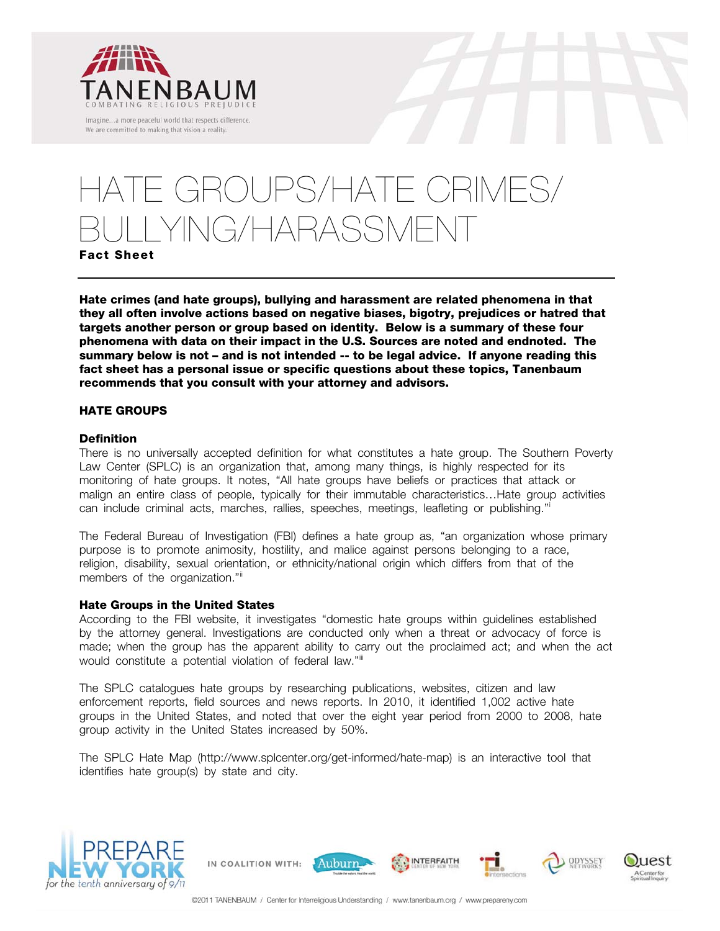

# GROUPS/HATE CRIMES/ YING/HARASSMENT

**Fact Sheet**

**Hate crimes (and hate groups), bullying and harassment are related phenomena in that they all often involve actions based on negative biases, bigotry, prejudices or hatred that targets another person or group based on identity. Below is a summary of these four phenomena with data on their impact in the U.S. Sources are noted and endnoted. The summary below is not – and is not intended -- to be legal advice. If anyone reading this fact sheet has a personal issue or specific questions about these topics, Tanenbaum recommends that you consult with your attorney and advisors.** 

# **HATE GROUPS**

# **Definition**

There is no universally accepted definition for what constitutes a hate group. The Southern Poverty Law Center (SPLC) is an organization that, among many things, is highly respected for its monitoring of hate groups. It notes, "All hate groups have beliefs or practices that attack or malign an entire class of people, typically for their immutable characteristics…Hate group activities can include criminal acts, marches, rallies, speeches, meetings, leafleting or publishing."[i](#page-12-0)

The Federal Bureau of Investigation (FBI) defines a hate group as, "an organization whose primary purpose is to promote animosity, hostility, and malice against persons belonging to a race, religion, disability, sexual orientation, or ethnicity/national origin which differs from that of the members of the organization."<sup>[ii](#page-12-1)</sup>

#### <span id="page-0-0"></span>**Hate Groups in the United States**

According to the FBI website, it investigates "domestic hate groups within guidelines established by the attorney general. Investigations are conducted only when a threat or advocacy of force is made; when the group has the apparent ability to carry out the proclaimed act; and when the act wouldconstitute a potential violation of federal law."iii

The SPLC catalogues hate groups by researching publications, websites, citizen and law enforcement reports, field sources and news reports. In 2010, it identified 1,002 active hate groups in the United States, and noted that over the eight year period from 2000 to 2008, hate group activity in the United States increased by 50%.

The SPLC Hate Map (http://www.splcenter.org/get-informed/hate-map) is an interactive tool that identifies hate group(s) by state and city.





 $11est$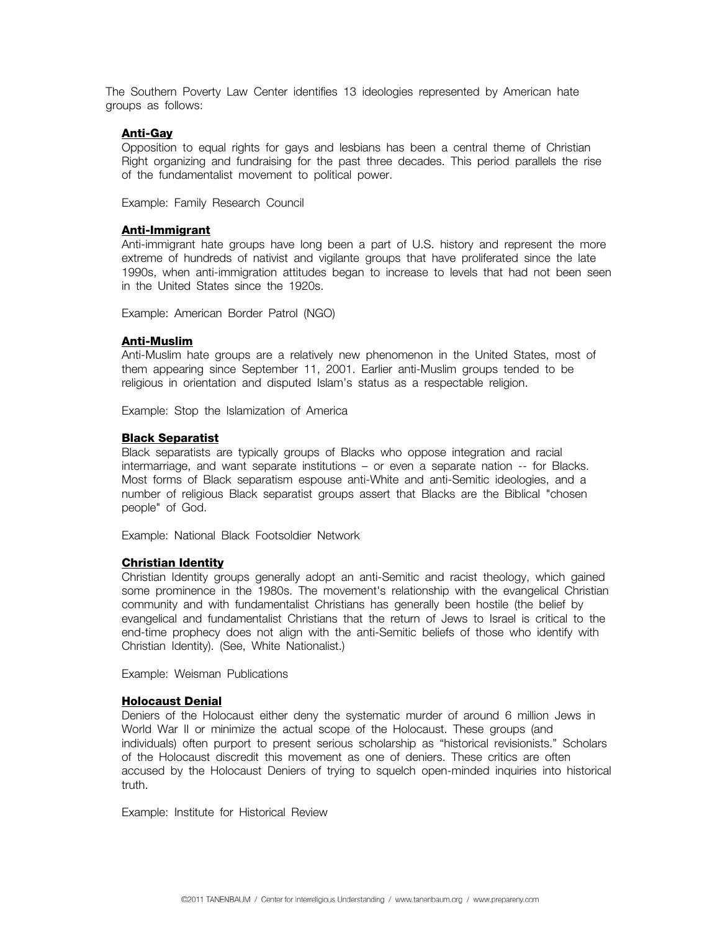The Southern Poverty Law Center identifies 13 ideologies represented by American hate groups as follows:

## **[Anti-Gay](http://www.splcenter.org/get-informed/intelligence-files/ideology/anti-gay)**

Opposition to equal rights for gays and lesbians has been a central theme of Christian Right organizing and fundraising for the past three decades. This period parallels the rise of the fundamentalist movement to political power.

Example: Family Research Council

#### **[Anti-Immigrant](http://www.splcenter.org/get-informed/intelligence-files/ideology/anti-immigrant)**

Anti-immigrant hate groups have long been a part of U.S. history and represent the more extreme of hundreds of nativist and vigilante groups that have proliferated since the late 1990s, when anti-immigration attitudes began to increase to levels that had not been seen in the United States since the 1920s.

Example: American Border Patrol (NGO)

#### **[Anti-Muslim](http://www.splcenter.org/get-informed/intelligence-files/ideology/anti-muslim)**

Anti-Muslim hate groups are a relatively new phenomenon in the United States, most of them appearing since September 11, 2001. Earlier anti-Muslim groups tended to be religious in orientation and disputed Islam's status as a respectable religion.

Example: Stop the Islamization of America

#### **[Black Separatist](http://www.splcenter.org/get-informed/intelligence-files/ideology/black-separatist)**

Black separatists are typically groups of Blacks who oppose integration and racial intermarriage, and want separate institutions – or even a separate nation -- for Blacks. Most forms of Black separatism espouse anti-White and anti-Semitic ideologies, and a number of religious Black separatist groups assert that Blacks are the Biblical "chosen people" of God.

Example: National Black Footsoldier Network

#### **[Christian Identity](http://www.splcenter.org/get-informed/intelligence-files/ideology/christian-identity)**

Christian Identity groups generally adopt an anti-Semitic and racist theology, which gained some prominence in the 1980s. The movement's relationship with the evangelical Christian community and with fundamentalist Christians has generally been hostile (the belief by evangelical and fundamentalist Christians that the return of Jews to Israel is critical to the end-time prophecy does not align with the anti-Semitic beliefs of those who identify with Christian Identity). (See, White Nationalist.)

Example: Weisman Publications

#### **[Holocaust Denial](http://www.splcenter.org/get-informed/intelligence-files/ideology/holocaust-denial)**

Deniers of the Holocaust either deny the systematic murder of around 6 million Jews in World War II or minimize the actual scope of the Holocaust. These groups (and individuals) often purport to present serious scholarship as "historical revisionists." Scholars of the Holocaust discredit this movement as one of deniers. These critics are often accused by the Holocaust Deniers of trying to squelch open-minded inquiries into historical truth.

Example: Institute for Historical Review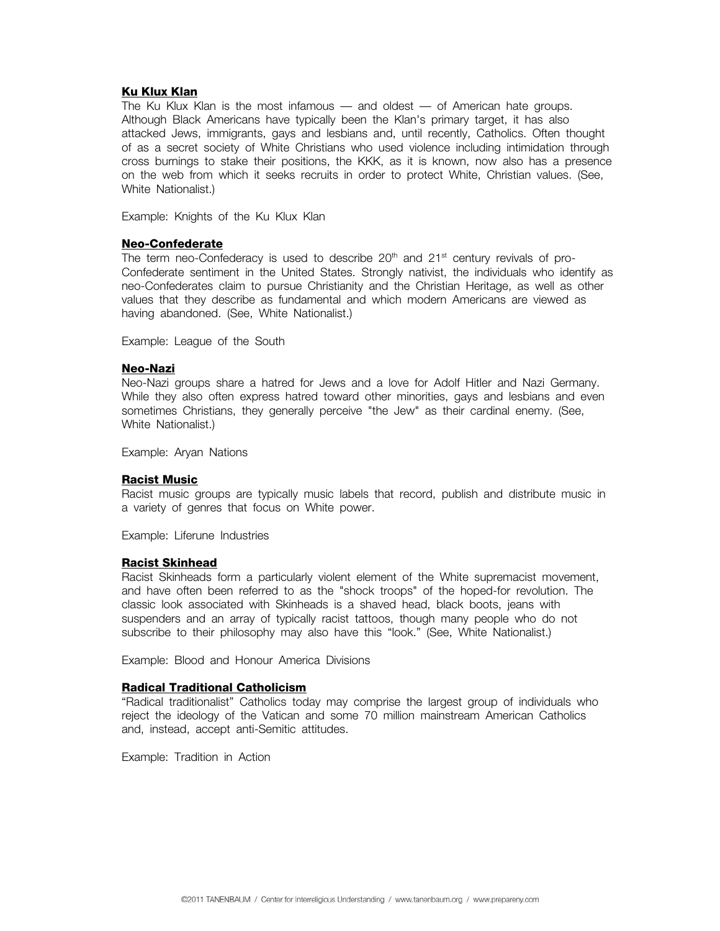## **[Ku Klux Klan](http://www.splcenter.org/get-informed/intelligence-files/ideology/ku-klux-klan)**

The Ku Klux Klan is the most infamous — and oldest — of American hate groups. Although Black Americans have typically been the Klan's primary target, it has also attacked Jews, immigrants, gays and lesbians and, until recently, Catholics. Often thought of as a secret society of White Christians who used violence including intimidation through cross burnings to stake their positions, the KKK, as it is known, now also has a presence on the web from which it seeks recruits in order to protect White, Christian values. (See, White Nationalist.)

Example: Knights of the Ku Klux Klan

#### **[Neo-Confederate](http://www.splcenter.org/get-informed/intelligence-files/ideology/neo-confederate)**

The term neo-Confederacy is used to describe  $20<sup>th</sup>$  and  $21<sup>st</sup>$  century revivals of pro-Confederate sentiment in the United States. Strongly nativist, the individuals who identify as neo-Confederates claim to pursue Christianity and the Christian Heritage, as well as other values that they describe as fundamental and which modern Americans are viewed as having abandoned. (See, White Nationalist.)

Example: League of the South

#### **[Neo-Nazi](http://www.splcenter.org/get-informed/intelligence-files/ideology/neo-nazi)**

Neo-Nazi groups share a hatred for Jews and a love for Adolf Hitler and Nazi Germany. While they also often express hatred toward other minorities, gays and lesbians and even sometimes Christians, they generally perceive "the Jew" as their cardinal enemy. (See, White Nationalist.)

Example: Aryan Nations

#### **[Racist Music](http://www.splcenter.org/get-informed/intelligence-files/ideology/racist-music)**

Racist music groups are typically music labels that record, publish and distribute music in a variety of genres that focus on White power.

Example: Liferune Industries

#### **[Racist Skinhead](http://www.splcenter.org/get-informed/intelligence-files/ideology/racist-skinhead)**

Racist Skinheads form a particularly violent element of the White supremacist movement, and have often been referred to as the "shock troops" of the hoped-for revolution. The classic look associated with Skinheads is a shaved head, black boots, jeans with suspenders and an array of typically racist tattoos, though many people who do not subscribe to their philosophy may also have this "look." (See, White Nationalist.)

Example: Blood and Honour America Divisions

#### **[Radical Traditional Catholicism](http://www.splcenter.org/get-informed/intelligence-files/ideology/radical-traditional-catholicism)**

"Radical traditionalist" Catholics today may comprise the largest group of individuals who reject the ideology of the Vatican and some 70 million mainstream American Catholics and, instead, accept anti-Semitic attitudes.

Example: Tradition in Action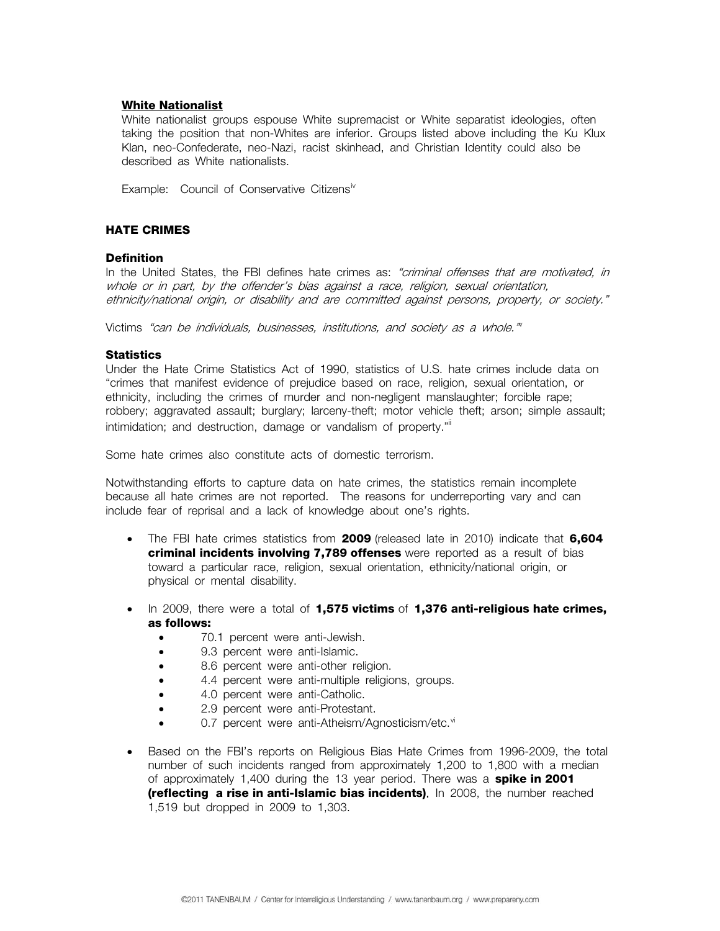## **[White Nationalist](http://www.splcenter.org/get-informed/intelligence-files/ideology/white-nationalist)**

White nationalist groups espouse White supremacist or White separatist ideologies, often taking the position that non-Whites are inferior. Groups listed above including the Ku Klux Klan, neo-Confederate, neo-Nazi, racist skinhead, and Christian Identity could also be described as White nationalists.

Example: Council of Conservative Citizens<sup>iv</sup>

## **HATE CRIMES**

## **Definition**

In the United States, the FBI defines hate crimes as: "criminal offenses that are motivated, in whole or in part, by the offender's bias against a race, religion, sexual orientation, ethnicity/national origin, or disability and are committed against persons, property, or society."

Victims "can be indi[v](#page-12-1)iduals, businesses, institutions, and society as a whole."<sup>v</sup>

#### **Statistics**

Under the Hate Crime Statistics Act of 1990, statistics of U.S. hate crimes include data on "crimes that manifest evidence of prejudice based on race, religion, sexual orientation, or ethnicity, including the crimes of murder and non-negligent manslaughter; forcible rape; robbery; aggravated assault; burglary; larceny-theft; motor vehicle theft; arson; simple assault; intimidation; and destruction, damage or vandalism of property."<sup>ii</sup>

Some hate crimes also constitute acts of domestic terrorism.

Notwithstanding efforts to capture data on hate crimes, the statistics remain incomplete because all hate crimes are not reported. The reasons for underreporting vary and can include fear of reprisal and a lack of knowledge about one's rights.

- The FBI hate crimes statistics from **2009** (released late in 2010) indicate that **6,604 criminal incidents involving 7,789 offenses** were reported as a result of bias toward a particular race, religion, sexual orientation, ethnicity/national origin, or physical or mental disability.
- In 2009, there were a total of **1,575 victims** of **1,376 anti-religious hate crimes, as follows:** 
	- 70.1 percent were anti-Jewish.
	- 9.3 percent were anti-Islamic.
	- 8.6 percent were anti-other religion.
	- 4.4 percent were anti-multiple religions, groups.
	- 4.0 percent were anti-Catholic.
	- 2.9 percent were anti-Protestant.
	- 0.7 percent were anti-Atheism/Agnosticism/etc.<sup>[vi](#page-12-1)</sup>
- Based on the FBI's reports on Religious Bias Hate Crimes from 1996-2009, the total number of such incidents ranged from approximately 1,200 to 1,800 with a median of approximately 1,400 during the 13 year period. There was a **spike in 2001 (reflecting a rise in anti-Islamic bias incidents)**. In 2008, the number reached 1,519 but dropped in 2009 to 1,303.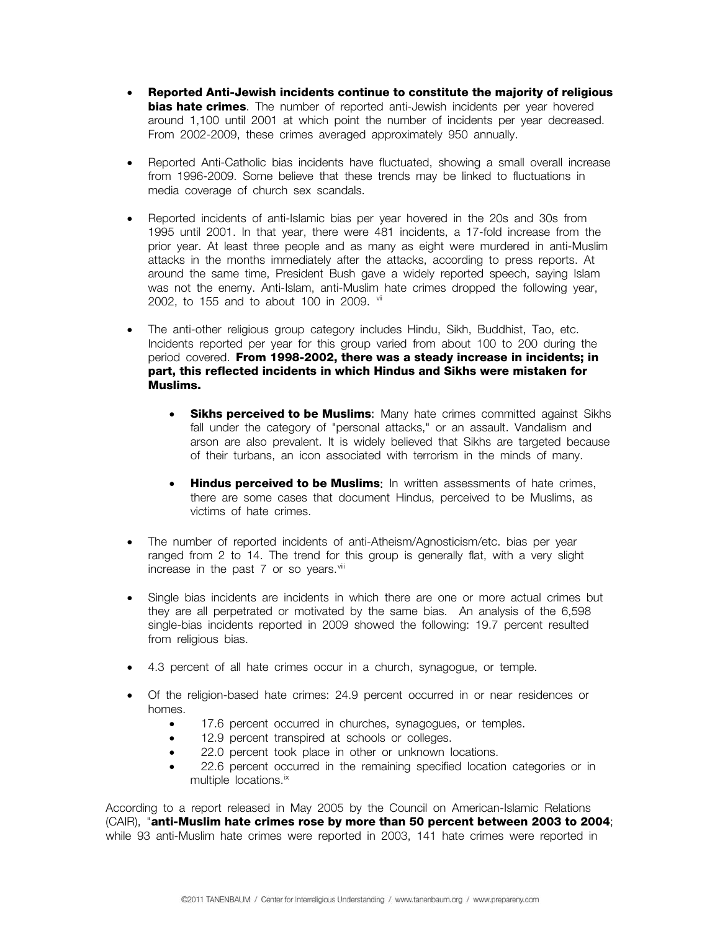- **Reported Anti-Jewish incidents continue to constitute the majority of religious bias hate crimes**. The number of reported anti-Jewish incidents per year hovered around 1,100 until 2001 at which point the number of incidents per year decreased. From 2002-2009, these crimes averaged approximately 950 annually.
- Reported Anti-Catholic bias incidents have fluctuated, showing a small overall increase from 1996-2009. Some believe that these trends may be linked to fluctuations in media coverage of church sex scandals.
- Reported incidents of anti-Islamic bias per year hovered in the 20s and 30s from 1995 until 2001. In that year, there were 481 incidents, a 17-fold increase from the prior year. At least three people and as many as eight were murdered in anti-Muslim attacks in the months immediately after the attacks, according to press reports. At around the same time, President Bush gave a widely reported speech, saying Islam was not the enemy. Anti-Islam, anti-Muslim hate crimes dropped the following year, 2002, to 155 and to about 100 in 2009.  $\frac{v}{10}$
- The anti-other religious group category includes Hindu, Sikh, Buddhist, Tao, etc. Incidents reported per year for this group varied from about 100 to 200 during the period covered. **From 1998-2002, there was a steady increase in incidents; in part, this reflected incidents in which Hindus and Sikhs were mistaken for Muslims.** 
	- **Sikhs perceived to be Muslims:** Many hate crimes committed against Sikhs fall under the category of "personal attacks," or an assault. Vandalism and arson are also prevalent. It is widely believed that Sikhs are targeted because of their turbans, an icon associated with terrorism in the minds of many.
	- **Hindus perceived to be Muslims**: In written assessments of hate crimes, there are some cases that document Hindus, perceived to be Muslims, as victims of hate crimes.
- The number of reported incidents of anti-Atheism/Agnosticism/etc. bias per year ranged from 2 to 14. The trend for this group is generally flat, with a very slight increase in the past  $7$  or so years. $v$ iii
- Single bias incidents are incidents in which there are one or more actual crimes but they are all perpetrated or motivated by the same bias. An analysis of the 6,598 single-bias incidents reported in 2009 showed the following: 19.7 percent resulted from religious bias.
- 4.3 percent of all hate crimes occur in a church, synagogue, or temple.
- Of the religion-based hate crimes: 24.9 percent occurred in or near residences or homes.
	- 17.6 percent occurred in churches, synagogues, or temples.
	- 12.9 percent transpired at schools or colleges.
	- 22.0 percent took place in other or unknown locations.
	- 22.6 percent occurred in the remaining specified location categories or in multiple locations.<sup>[ix](#page-12-1)</sup>

According to a report released in May 2005 by the Council on American-Islamic Relations (CAIR), "**anti-Muslim hate crimes rose by more than 50 percent between 2003 to 2004**; while 93 anti-Muslim hate crimes were reported in 2003, 141 hate crimes were reported in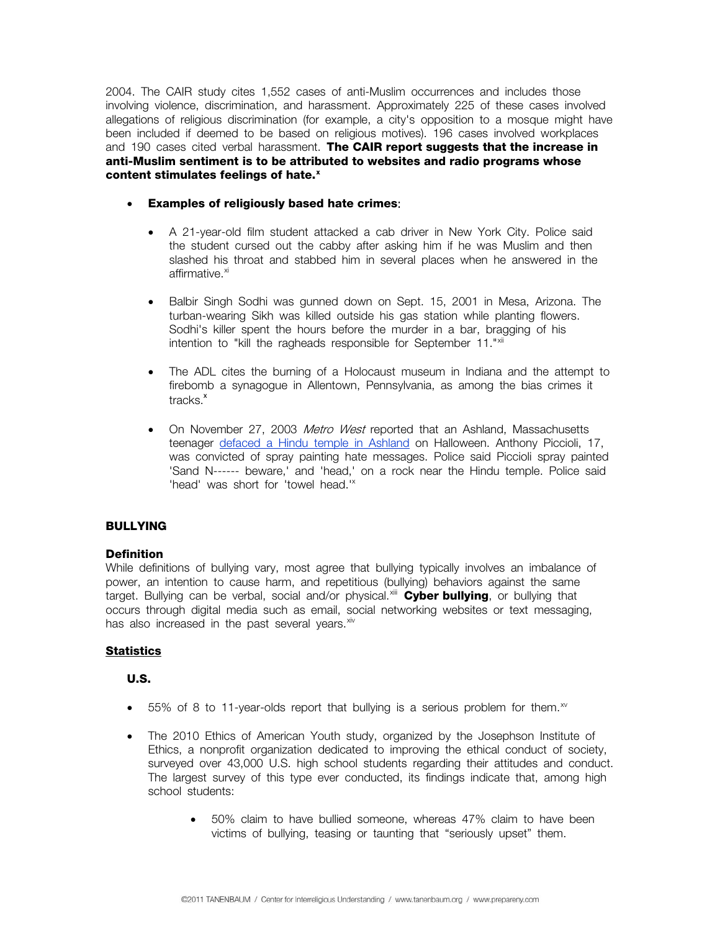2004. The CAIR study cites 1,552 cases of anti-Muslim occurrences and includes those involving violence, discrimination, and harassment. Approximately 225 of these cases involved allegations of religious discrimination (for example, a city's opposition to a mosque might have been included if deemed to be based on religious motives). 196 cases involved workplaces and 190 cases cited verbal harassment. **The CAIR report suggests that the increase in anti-Muslim sentiment is to be attributed to websites and radio programs whose content stimulates feelings of hate.[x](#page-12-1)** 

- <span id="page-5-0"></span>• **Examples of religiously based hate crimes**:
	- A 21-year-old film student attacked a cab driver in New York City. Police said the student cursed out the cabby after asking him if he was Muslim and then slashed his throat and stabbed him in several places when he answered in the affirmative.<sup>[xi](#page-12-1)</sup>
	- Balbir Singh Sodhi was gunned down on Sept. 15, 2001 in Mesa, Arizona. The turban-wearing Sikh was killed outside his gas station while planting flowers. Sodhi's killer spent the hours before the murder in a bar, bragging of his intention to "kill the ragheads responsible for September 11."[xii](#page-12-1)
	- The ADL cites the burning of a Holocaust museum in Indiana and the attempt to firebomb a synagogue in Allentown, Pennsylvania, as among the bias crimes it tracks.<sup>[x](#page-5-0)</sup>
	- On November 27, 2003 Metro West reported that an Ashland, Massachusetts teenager [defaced a Hindu temple in Ashland](http://www.pluralism.org/news/index.php?tags=5346.5174&anyall=+%26%26+&terms=Hindu+temple&fromdate=1997-01-01&todate=2005-07-02&tradition=&keyword=&state=MA&sort=DESC) on Halloween. Anthony Piccioli, 17, was convicted of spray painting hate messages. Police said Piccioli spray painted 'Sand N------ beware,' and 'head,' on a rock near the Hindu temple. Police said 'head' was short for 'towel head."

# **BULLYING**

# **Definition**

While definitions of bullying vary, most agree that bullying typically involves an imbalance of power, an intention to cause harm, and repetitious (bullying) behaviors against the same target. Bullying can be verbal, social and/or physical.[xiii](#page-12-1) **Cyber bullying**, or bullying that occurs through digital media such as email, social networking websites or text messaging, has also increased in the past several vears. Xiv

# <span id="page-5-1"></span>**Statistics**

# **U.S.**

- 55% of 8 to 11-year-olds report that bullying is a serious problem for them. $^{x}$
- The 2010 Ethics of American Youth study, organized by the Josephson Institute of Ethics, a nonprofit organization dedicated to improving the ethical conduct of society, surveyed over 43,000 U.S. high school students regarding their attitudes and conduct. The largest survey of this type ever conducted, its findings indicate that, among high school students:
	- 50% claim to have bullied someone, whereas 47% claim to have been victims of bullying, teasing or taunting that "seriously upset" them.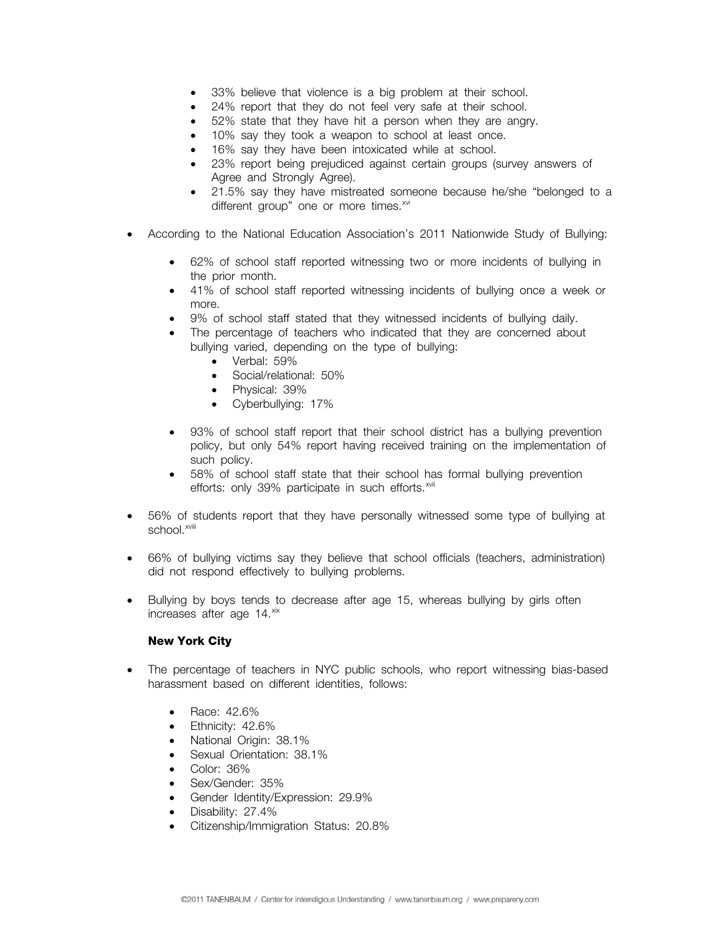- 33% believe that violence is a big problem at their school.
- 24% report that they do not feel very safe at their school.
- 52% state that they have hit a person when they are angry.
- 10% say they took a weapon to school at least once.
- 16% say they have been intoxicated while at school.
- 23% report being prejudiced against certain groups (survey answers of Agree and Strongly Agree).
- 21.5% say they have mistreated someone because he/she "belonged to a different group" one or more times.<sup>[xvi](#page-12-1)</sup>
- According to the National Education Association's 2011 Nationwide Study of Bullying:
	- 62% of school staff reported witnessing two or more incidents of bullying in the prior month.
	- 41% of school staff reported witnessing incidents of bullying once a week or more.
	- 9% of school staff stated that they witnessed incidents of bullying daily.
	- The percentage of teachers who indicated that they are concerned about bullying varied, depending on the type of bullying:
		- Verbal: 59%
		- Social/relational: 50%
		- Physical: 39%
		- Cyberbullying: 17%
	- 93% of school staff report that their school district has a bullying prevention policy, but only 54% report having received training on the implementation of such policy.
	- 58% of school staff state that their school has formal bullying prevention efforts: only 39% participate in such efforts.<sup>[xvii](#page-12-1)</sup>
- 56% of students report that they have personally witnessed some type of bullying at school.<sup>xviii</sup>
- 66% of bullying victims say they believe that school officials (teachers, administration) did not respond effectively to bullying problems.
- <span id="page-6-0"></span>• Bullying by boys tends to decrease after age 15, whereas bullying by girls often increases after age 14.[xix](#page-12-1)

#### **New York City**

- The percentage of teachers in NYC public schools, who report witnessing bias-based harassment based on different identities, follows:
	- Race: 42.6%
	- Ethnicity: 42.6%
	- National Origin: 38.1%
	- Sexual Orientation: 38.1%
	- Color: 36%
	- Sex/Gender: 35%
	- Gender Identity/Expression: 29.9%
	- Disability: 27.4%
	- Citizenship/Immigration Status: 20.8%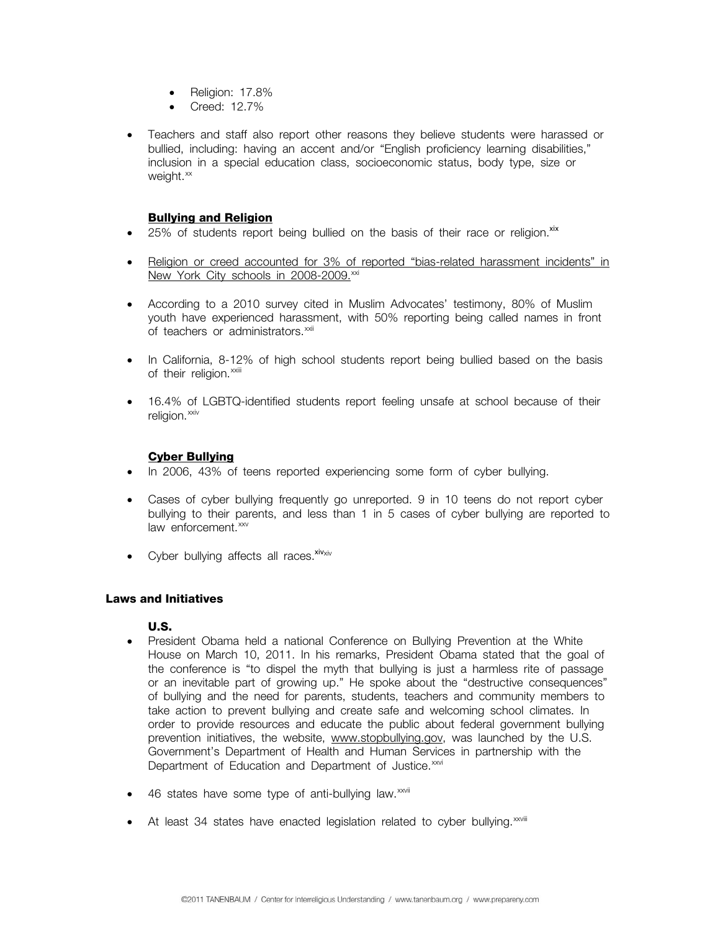- Religion: 17.8%
- Creed: 12.7%
- Teachers and staff also report other reasons they believe students were harassed or bullied, including: having an accent and/or "English proficiency learning disabilities," inclusion in a special education class, socioeconomic status, body type, size or weight.<sup>[xx](#page-12-1)</sup>

# **Bullying and Religion**

- $\bullet$  25% of students report being bullied on the basis of their race or religion.<sup>[xix](#page-6-0)</sup>
- Religion or creed accounted for 3% of reported "bias-related harassment incidents" in New York City schools in 2008-2009.<sup>[xxi](#page-12-1)</sup>
- According to a 2010 survey cited in Muslim Advocates' testimony, 80% of Muslim youth have experienced harassment, with 50% reporting being called names in front of teachers or administrators.<sup>[xxii](#page-12-1)</sup>
- In California, 8-12% of high school students report being bullied based on the basis of their religion.<sup>[xxiii](#page-12-1)</sup>
- 16.4% of LGBTQ-identified students report feeling unsafe at school because of their religion.<sup>[xxiv](#page-12-1)</sup>

# **Cyber Bullying**

- In 2006, 43% of teens reported experiencing some form of cyber bullying.
- Cases of cyber bullying frequently go unreported. 9 in 10 teens do not report cyber bullying to their parents, and less than 1 in 5 cases of cyber bullying are reported to law enforcement.<sup>[xxv](#page-12-1)</sup>
- Cyber bullying affects all races. $x_{iv\times iv}$

# **Laws and Initiatives**

# **U.S.**

- President Obama held a national Conference on Bullying Prevention at the White House on March 10, 2011. In his remarks, President Obama stated that the goal of the conference is "to dispel the myth that bullying is just a harmless rite of passage or an inevitable part of growing up." He spoke about the "destructive consequences" of bullying and the need for parents, students, teachers and community members to take action to prevent bullying and create safe and welcoming school climates. In order to provide resources and educate the public about federal government bullying prevention initiatives, the website, [www.stopbullying.gov,](http://www.stopbullying.gov/) was launched by the U.S. Government's Department of Health and Human Services in partnership with the Department of Education and Department of Justice.<sup>[xxvi](#page-12-1)</sup>
- 46 states have some type of anti-bullying law.<sup>[xxvii](#page-12-1)</sup>
- At least 34 states have enacted legislation related to cyber bullying. $x_{\text{x}}$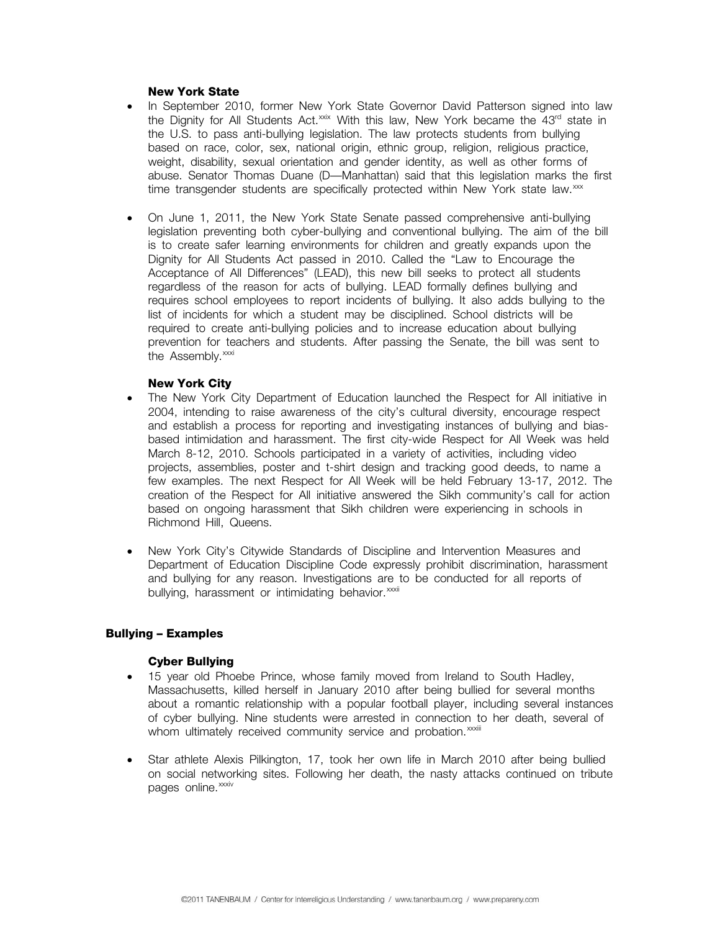### **New York State**

- In September 2010, former New York State Governor David Patterson signed into law the Dignity for All Students Act.<sup>[xxix](#page-12-1)</sup> With this law, New York became the 43<sup>rd</sup> state in the U.S. to pass anti-bullying legislation. The law protects students from bullying based on race, color, sex, national origin, ethnic group, religion, religious practice, weight, disability, sexual orientation and gender identity, as well as other forms of abuse. Senator Thomas Duane (D—Manhattan) said that this legislation marks the first time transgender students are specifically protected within New York state law. $\frac{x}{x}$
- On June 1, 2011, the New York State Senate passed comprehensive anti-bullying legislation preventing both cyber-bullying and conventional bullying. The aim of the bill is to create safer learning environments for children and greatly expands upon the Dignity for All Students Act passed in 2010. Called the "Law to Encourage the Acceptance of All Differences" (LEAD), this new bill seeks to protect all students regardless of the reason for acts of bullying. LEAD formally defines bullying and requires school employees to report incidents of bullying. It also adds bullying to the list of incidents for which a student may be disciplined. School districts will be required to create anti-bullying policies and to increase education about bullying prevention for teachers and students. After passing the Senate, the bill was sent to the Assembly.<sup>[xxxi](#page-13-0)</sup>

## **New York City**

- The New York City Department of Education launched the Respect for All initiative in 2004, intending to raise awareness of the city's cultural diversity, encourage respect and establish a process for reporting and investigating instances of bullying and biasbased intimidation and harassment. The first city-wide Respect for All Week was held March 8-12, 2010. Schools participated in a variety of activities, including video projects, assemblies, poster and t-shirt design and tracking good deeds, to name a few examples. The next Respect for All Week will be held February 13-17, 2012. The creation of the Respect for All initiative answered the Sikh community's call for action based on ongoing harassment that Sikh children were experiencing in schools in Richmond Hill, Queens.
- New York City's Citywide Standards of Discipline and Intervention Measures and Department of Education Discipline Code expressly prohibit discrimination, harassment and bullying for any reason. Investigations are to be conducted for all reports of bullying, harassment or intimidating behavior.<sup>xxxii</sup>

# **Bullying – Examples**

#### **Cyber Bullying**

- 15 year old Phoebe Prince, whose family moved from Ireland to South Hadley, Massachusetts, killed herself in January 2010 after being bullied for several months about a romantic relationship with a popular football player, including several instances of cyber bullying. Nine students were arrested in connection to her death, several of whom ultimately received community service and probation.<sup>xxiii</sup>
- Star athlete Alexis Pilkington, 17, took her own life in March 2010 after being bullied on social networking sites. Following her death, the nasty attacks continued on tribute pages online.<sup>[xxxiv](#page-13-0)</sup>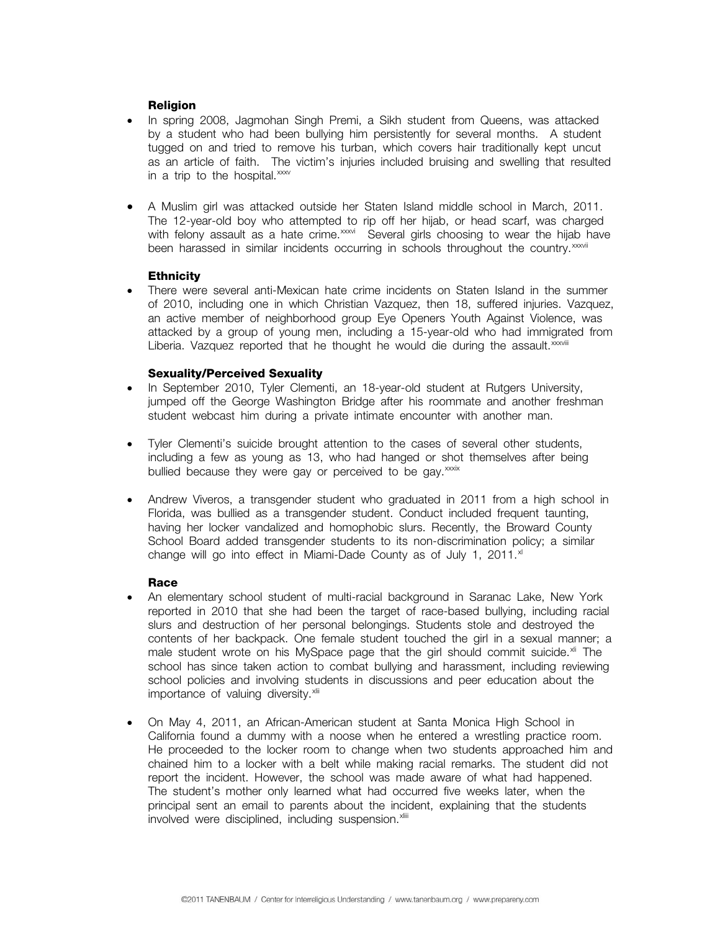# **Religion**

- In spring 2008, Jagmohan Singh Premi, a Sikh student from Queens, was attacked by a student who had been bullying him persistently for several months. A student tugged on and tried to remove his turban, which covers hair traditionally kept uncut as an article of faith. The victim's injuries included bruising and swelling that resulted in a trip to the hospital. $xxx$
- A Muslim girl was attacked outside her Staten Island middle school in March, 2011. The 12-year-old boy who attempted to rip off her hijab, or head scarf, was charged with felony assault as a hate crime.<sup>[xxxvi](#page-13-0)</sup> Several girls choosing to wear the hijab have been harassed in similar incidents occurring in schools throughout the country.<sup>[xxxvii](#page-13-0)</sup>

# **Ethnicity**

• There were several anti-Mexican hate crime incidents on Staten Island in the summer of 2010, including one in which Christian Vazquez, then 18, suffered injuries. Vazquez, an active member of neighborhood group Eye Openers Youth Against Violence, was attacked by a group of young men, including a 15-year-old who had immigrated from Liberia. Vazquez reported that he thought he would die during the assault. $x^{\text{coviii}}$ 

# **Sexuality/Perceived Sexuality**

- In September 2010, Tyler Clementi, an 18-year-old student at Rutgers University, jumped off the George Washington Bridge after his roommate and another freshman student webcast him during a private intimate encounter with another man.
- Tyler Clementi's suicide brought attention to the cases of several other students, including a few as young as 13, who had hanged or shot themselves after being bullied because they were gay or perceived to be gay.<sup>[xxxix](#page-13-0)</sup>
- Andrew Viveros, a transgender student who graduated in 2011 from a high school in Florida, was bullied as a transgender student. Conduct included frequent taunting, having her locker vandalized and homophobic slurs. Recently, the Broward County School Board added transgender students to its non-discrimination policy; a similar change will go into effect in Miami-Dade County as of July 1, 2011. $x$ <sup>1</sup>

# **Race**

- An elementary school student of multi-racial background in Saranac Lake, New York reported in 2010 that she had been the target of race-based bullying, including racial slurs and destruction of her personal belongings. Students stole and destroyed the contents of her backpack. One female student touched the girl in a sexual manner; a male student wrote on his MySpace page that the girl should commit suicide.<sup>[xli](#page-13-0)</sup> The school has since taken action to combat bullying and harassment, including reviewing school policies and involving students in discussions and peer education about the importance of valuing diversity. $x$ lii
- On May 4, 2011, an African-American student at Santa Monica High School in California found a dummy with a noose when he entered a wrestling practice room. He proceeded to the locker room to change when two students approached him and chained him to a locker with a belt while making racial remarks. The student did not report the incident. However, the school was made aware of what had happened. The student's mother only learned what had occurred five weeks later, when the principal sent an email to parents about the incident, explaining that the students involved were disciplined, including suspension.<sup>[xliii](#page-13-0)</sup>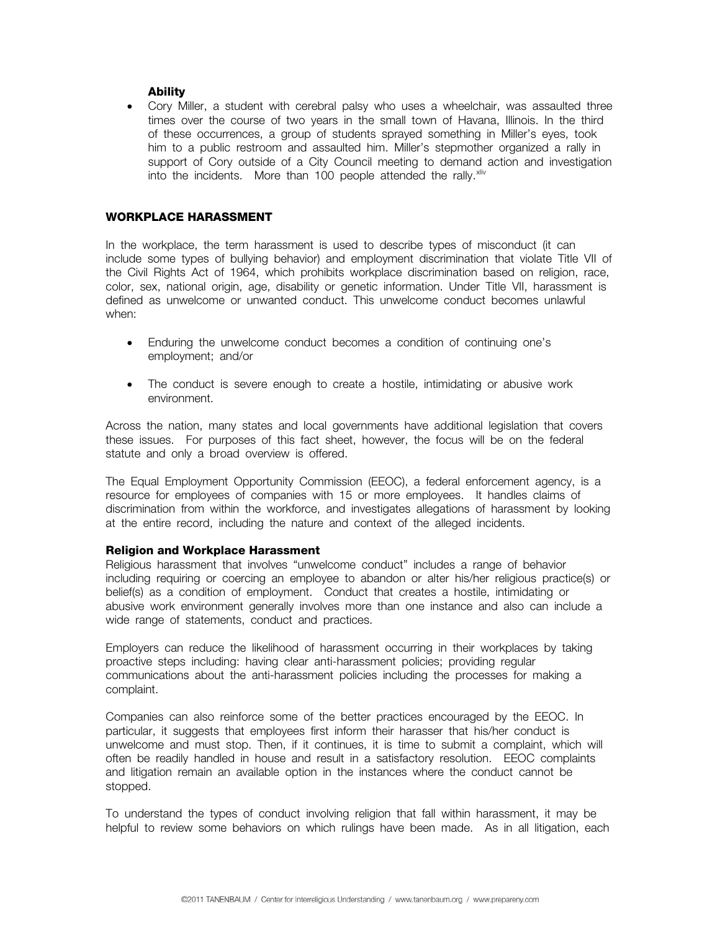## **Ability**

• Cory Miller, a student with cerebral palsy who uses a wheelchair, was assaulted three times over the course of two years in the small town of Havana, Illinois. In the third of these occurrences, a group of students sprayed something in Miller's eyes, took him to a public restroom and assaulted him. Miller's stepmother organized a rally in support of Cory outside of a City Council meeting to demand action and investigation into the incidents. More than 100 people attended the rally.<sup>[xliv](#page-13-0)</sup>

# **WORKPLACE HARASSMENT**

In the workplace, the term harassment is used to describe types of misconduct (it can include some types of bullying behavior) and employment discrimination that violate Title VII of the Civil Rights Act of 1964, which prohibits workplace discrimination based on religion, race, color, sex, national origin, age, disability or genetic information. Under Title VII, harassment is defined as unwelcome or unwanted conduct. This unwelcome conduct becomes unlawful when:

- Enduring the unwelcome conduct becomes a condition of continuing one's employment; and/or
- The conduct is severe enough to create a hostile, intimidating or abusive work environment.

Across the nation, many states and local governments have additional legislation that covers these issues. For purposes of this fact sheet, however, the focus will be on the federal statute and only a broad overview is offered.

The Equal Employment Opportunity Commission (EEOC), a federal enforcement agency, is a resource for employees of companies with 15 or more employees. It handles claims of discrimination from within the workforce, and investigates allegations of harassment by looking at the entire record, including the nature and context of the alleged incidents.

#### **Religion and Workplace Harassment**

Religious harassment that involves "unwelcome conduct" includes a range of behavior including requiring or coercing an employee to abandon or alter his/her religious practice(s) or belief(s) as a condition of employment. Conduct that creates a hostile, intimidating or abusive work environment generally involves more than one instance and also can include a wide range of statements, conduct and practices.

Employers can reduce the likelihood of harassment occurring in their workplaces by taking proactive steps including: having clear anti-harassment policies; providing regular communications about the anti-harassment policies including the processes for making a complaint.

Companies can also reinforce some of the better practices encouraged by the EEOC. In particular, it suggests that employees first inform their harasser that his/her conduct is unwelcome and must stop. Then, if it continues, it is time to submit a complaint, which will often be readily handled in house and result in a satisfactory resolution. EEOC complaints and litigation remain an available option in the instances where the conduct cannot be stopped.

To understand the types of conduct involving religion that fall within harassment, it may be helpful to review some behaviors on which rulings have been made. As in all litigation, each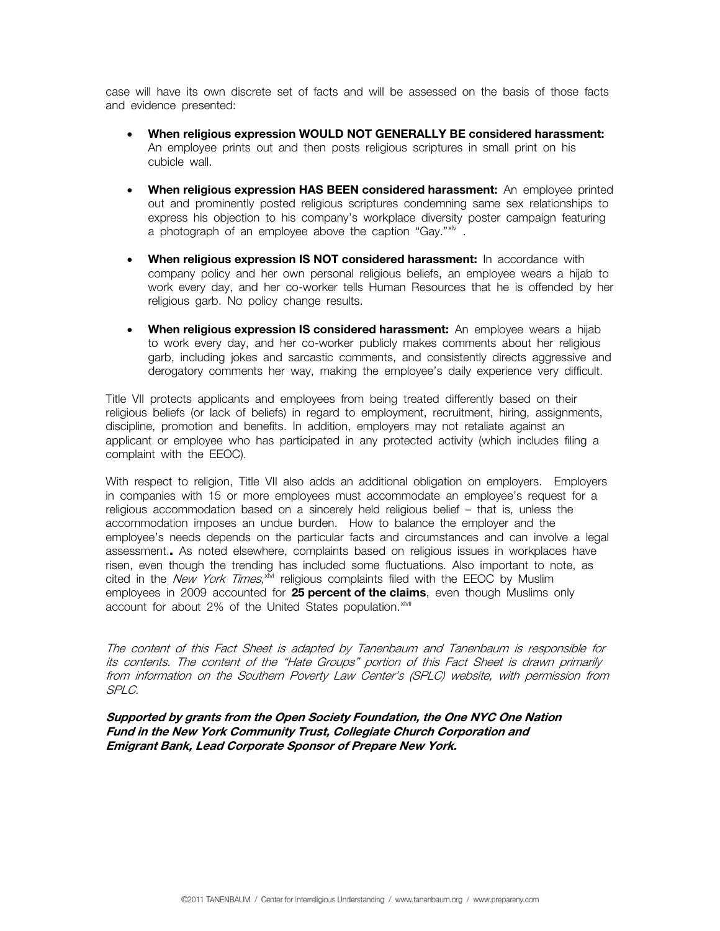case will have its own discrete set of facts and will be assessed on the basis of those facts and evidence presented:

- **When religious expression WOULD NOT GENERALLY BE considered harassment:** An employee prints out and then posts religious scriptures in small print on his cubicle wall.
- **When religious expression HAS BEEN considered harassment:** An employee printed out and prominently posted religious scriptures condemning same sex relationships to express his objection to his company's workplace diversity poster campaign featuring a photograph of an employee above the caption "Gay."<sup>[xlv](#page-13-0)</sup>.
- **When religious expression IS NOT considered harassment:** In accordance with company policy and her own personal religious beliefs, an employee wears a hijab to work every day, and her co-worker tells Human Resources that he is offended by her religious garb. No policy change results.
- **When religious expression IS considered harassment:** An employee wears a hijab to work every day, and her co-worker publicly makes comments about her religious garb, including jokes and sarcastic comments, and consistently directs aggressive and derogatory comments her way, making the employee's daily experience very difficult.

Title VII protects applicants and employees from being treated differently based on their religious beliefs (or lack of beliefs) in regard to employment, recruitment, hiring, assignments, discipline, promotion and benefits. In addition, employers may not retaliate against an applicant or employee who has participated in any protected activity (which includes filing a complaint with the EEOC).

With respect to religion, Title VII also adds an additional obligation on employers. Employers in companies with 15 or more employees must accommodate an employee's request for a religious accommodation based on a sincerely held religious belief – that is, unless the accommodation imposes an undue burden. How to balance the employer and the employee's needs depends on the particular facts and circumstances and can involve a legal assessment.**.** As noted elsewhere, complaints based on religious issues in workplaces have risen, even though the trending has included some fluctuations. Also important to note, as cited in the New York Times, x<sup>lvi</sup> religious complaints filed with the EEOC by Muslim employees in 2009 accounted for **25 percent of the claims**, even though Muslims only account for about 2% of the United States population. XIVII

The content of this Fact Sheet is adapted by Tanenbaum and Tanenbaum is responsible for its contents. The content of the "Hate Groups" portion of this Fact Sheet is drawn primarily from information on the Southern Poverty Law Center's (SPLC) website, with permission from SPLC.

**Supported by grants from the Open Society Foundation, the One NYC One Nation Fund in the New York Community Trust, Collegiate Church Corporation and Emigrant Bank, Lead Corporate Sponsor of Prepare New York.**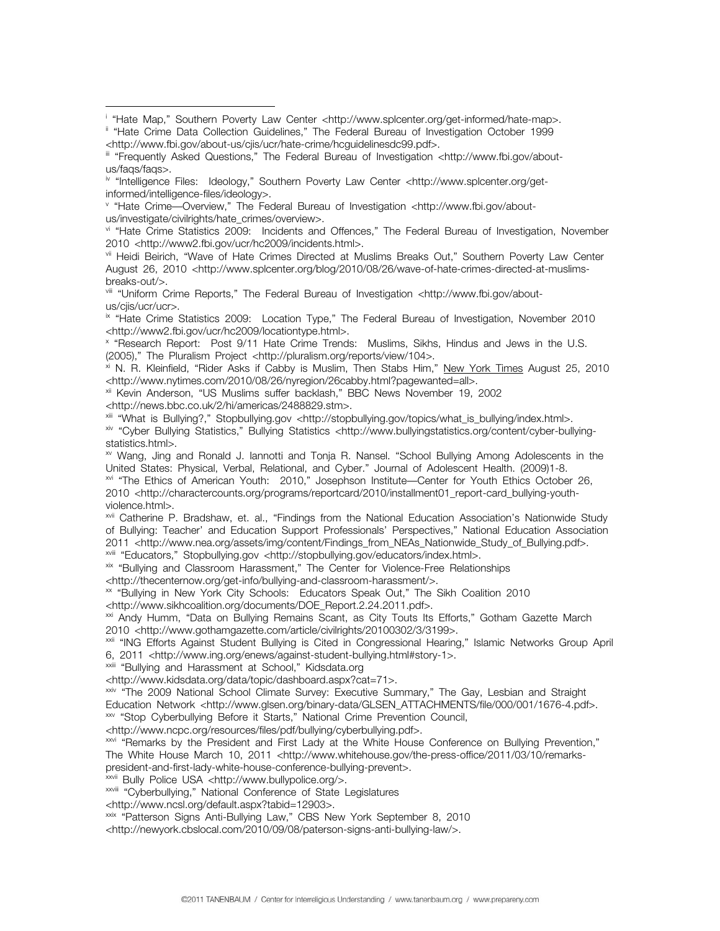<span id="page-12-1"></span>

v "Hate Crime—Overview," The Federal Bureau of Investigation <http://www.fbi.gov/aboutus/investigate/civilrights/hate\_crimes/overview>.

vi "Hate Crime Statistics 2009: Incidents and Offences," The Federal Bureau of Investigation, November 2010 <http://www2.fbi.gov/ucr/hc2009/incidents.html>.<br><sup>vii</sup> Heidi Beirich, "Wave of Hate Crimes Directed at Muslims Breaks Out," Southern Poverty Law Center

August 26, 2010 <[http://www.splcenter.org/blog/2010/08/26/wave-of-hate-crimes-directed-at-muslims-](http://www.splcenter.org/blog/2010/08/26/wave-of-hate-crimes-directed-at-muslims-breaks-out/)

[breaks-out/>](http://www.splcenter.org/blog/2010/08/26/wave-of-hate-crimes-directed-at-muslims-breaks-out/). viii "Uniform Crime Reports," The Federal Bureau of Investigation <http://www.fbi.gov/aboutus/cjis/ucr/ucr>.

<sup>ix</sup> "Hate Crime Statistics 2009: Location Type," The Federal Bureau of Investigation, November 2010 <http://www2.fbi.gov/ucr/hc2009/locationtype.html>.

x "Research Report: Post 9/11 Hate Crime Trends: Muslims, Sikhs, Hindus and Jews in the U.S. (2005)," The Pluralism Project <http://pluralism.org/reports/view/104>.

<sup>xi</sup> N. R. Kleinfield, "Rider Asks if Cabby is Muslim, Then Stabs Him," New York Times August 25, 2010<br><http://www.nytimes.com/2010/08/26/nyregion/26cabby.html?pagewanted=all>.

<sup>xii</sup> Kevin Anderson, "US Muslims suffer backlash," BBC News November 19, 2002

<http://news.bbc.co.uk/2/hi/americas/2488829.stm>. xiv "Cyber Bullying Statistics," Bullying Statistics <http://www.bullyingstatistics.org/content/cyber-bullyingstatistics.html>.

xv Wang, Jing and Ronald J. Iannotti and Tonja R. Nansel. "School Bullying Among Adolescents in the United States: Physical, Verbal, Relational, and Cyber." Journal of Adolescent Health. (2009)1-8.<br><sup>xvi</sup> "The Ethics of American Youth: 2010," Josephson Institute—Center for Youth Ethics October 26,

2010 <http://charactercounts.org/programs/reportcard/2010/installment01\_report-card\_bullying-youthviolence.html>.

xvii Catherine P. Bradshaw, et. al., "Findings from the National Education Association's Nationwide Study of Bullying: Teacher' and Education Support Professionals' Perspectives," National Education Association 2011 <http://www.nea.org/assets/img/content/Findings\_from\_NEAs\_Nationwide\_Study\_of\_Bullying.pdf>.<br><sup>xvii</sup> "Educators," Stopbullying.gov <http://stopbullying.gov/educators/index.html>.<br><sup>xix</sup> "Bullying and Classroom Harassmen

<http://thecenternow.org/get-info/bullying-and-classroom-harassment/>.<br><sup>xx</sup> "Bullying in New York City Schools: Educators Speak Out," The Sikh Coalition 2010

<http://www.sikhcoalition.org/documents/DOE\_Report.2.24.2011.pdf>.<br><sup>xxi</sup> Andy Humm, "Data on Bullying Remains Scant, as City Touts Its Efforts," Gotham Gazette March

2010 <http://www.gothamgazette.com/article/civilrights/20100302/3/3199>.<br><sup>xxii</sup> "ING Efforts Against Student Bullving is Cited in Congressional Hearing," Islamic Networks Group April

6, 2011 <http://www.ing.org/enews/against-student-bullying.html#story-1>.<br>
<sup>xxiii</sup> "Bullying and Harassment at School," Kidsdata.org<br>
<http://www.kidsdata.org/data/topic/dashboard.aspx?cat=71>.

xxiv "The 2009 National School Climate Survey: Executive Summary," The Gay, Lesbian and Straight Education Network <http://www.glsen.org/binary-data/GLSEN\_ATTACHMENTS/file/000/001/1676-4.pdf>.<br>
\*\* "Stop Cyberbullying Before it Starts," National Crime Prevention Council,<br>
<http://www.ncpc.org/resources/files/pdf/bullyi

 $x<sub>0</sub>$  "Remarks by the President and First Lady at the White House Conference on Bullying Prevention," The White House March 10, 2011 <http://www.whitehouse.gov/the-press-office/2011/03/10/remarks-president-and-first-lady-white-house-conference-bullying-prevent>.

xxvii Bully Police USA <http://www.bullypolice.org/>.<br>xxviii "Cyberbullying," National Conference of State Legislatures

<http://www.ncsl.org/default.aspx?tabid=12903>. xxix "Patterson Signs Anti-Bullying Law," CBS New York September 8, 2010

<http://newyork.cbslocal.com/2010/09/08/paterson-signs-anti-bullying-law/>.

i

<span id="page-12-0"></span><sup>&</sup>lt;sup>i</sup> "Hate Map," Southern Poverty Law Center <http://www.splcenter.org/get-informed/hate-map>.<br><sup>ii</sup> "Hate Crime Data Collection Guidelines," The Federal Bureau of Investigation October 1999<br><http://www.fbi.gov/about-us/cjis

ii "Frequently Asked Questions," The Federal Bureau of Investigation <http://www.fbi.gov/aboutus/faqs/faqs>.

iv "Intelligence Files: Ideology," Southern Poverty Law Center <http://www.splcenter.org/getinformed/intelligence-files/ideology>.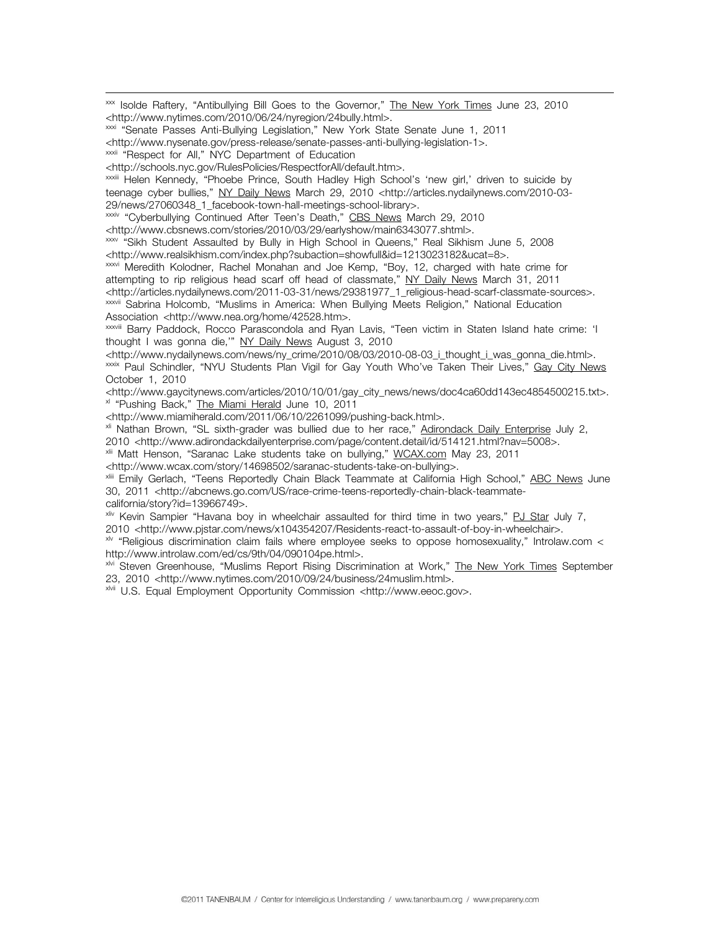<span id="page-13-0"></span>xxx Isolde Raftery, "Antibullying Bill Goes to the Governor," The New York Times June 23, 2010 <http://www.nytimes.com/2010/06/24/nyregion/24bully.html>. xxxi "Senate Passes Anti-Bullying Legislation," New York State Senate June 1, 2011

<http://www.nysenate.gov/press-release/senate-passes-anti-bullying-legislation-1>. xxxii "Respect for All," NYC Department of Education

<http://schools.nyc.gov/RulesPolicies/RespectforAll/default.htm>.<br><sup>xxxii</sup>i Helen Kennedy, "Phoebe Prince, South Hadley High School's 'new girl,' driven to suicide by teenage cyber bullies," NY Daily News March 29, 2010 <http://articles.nydailynews.com/2010-03- 29/news/27060348\_1\_facebook-town-hall-meetings-school-library>.

xxxiv "Cyberbullying Continued After Teen's Death," CBS News March 29, 2010

<http://www.cbsnews.com/stories/2010/03/29/earlyshow/main6343077.shtml>.

xxxv "Sikh Student Assaulted by Bully in High School in Queens," Real Sikhism June 5, 2008 <http://www.realsikhism.com/index.php?subaction=showfull&id=1213023182&ucat=8>.<br><sup>xxxvi</sup> Meredith Kolodner, Rachel Monahan and Joe Kemp, "Boy, 12, charged with hate crime for

attempting to rip religious head scarf off head of classmate," NY Daily News March 31, 2011<br><http://articles.nydailynews.com/2011-03-31/news/29381977\_1\_religious-head-scarf-classmate-sources>.

<sup>xxxvii</sup> Sabrina Holcomb, "Muslims in America: When Bullying Meets Religion," National Education<br>Association <http://www.nea.org/home/42528.htm>.

XXXVIII Barry Paddock, Rocco Parascondola and Ryan Lavis, "Teen victim in Staten Island hate crime: 'I thought I was gonna die," NY Daily News August 3, 2010

<http://www.nydailynews.com/news/ny\_crime/2010/08/03/2010-08-03\_i\_thought\_i\_was\_gonna\_die.html>.<br><sup>xxxix</sup> Paul Schindler, "NYU Students Plan Vigil for Gay Youth Who've Taken Their Lives," Gay City News October 1, 2010

<http://www.gaycitynews.com/articles/2010/10/01/gay\_city\_news/news/doc4ca60dd143ec4854500215.txt>.<br><sup>×l</sup> "Pushing Back," <u>The Miami Herald</u> June 10, 2011

kttp://www.miamiherald.com/2011/06/10/2261099/pushing-back.html>.<br><sup>xli</sup> Nathan Brown, "SL sixth-grader was bullied due to her race," <u>Adirondack Daily Enterprise</u> July 2,

2010 <http://www.adirondackdailyenterprise.com/page/content.detail/id/514121.html?nav=5008>.<br><sup>xii</sup> Matt Henson, "Saranac Lake students take on bullying," <u>WCAX.com</u> May 23, 2011

<http://www.wcax.com/story/14698502/saranac-students-take-on-bullying>.<br><sup>xiii</sup> Emily Gerlach, "Teens Reportedly Chain Black Teammate at California High School," <u>ABC News</u> June 30, 2011 <http://abcnews.go.com/US/race-crime-teens-reportedly-chain-black-teammatecalifornia/story?id=13966749>.

xliv Kevin Sampier "Havana boy in wheelchair assaulted for third time in two years," PJ Star July 7,

2010 <http://www.pjstar.com/news/x104354207/Residents-react-to-assault-of-boy-in-wheelchair>.<br><sup>\*/v</sup> "Religious discrimination claim fails where employee seeks to oppose homosexuality," Introlaw.com <

http://www.introlaw.com/ed/cs/9th/04/090104pe.html>.<br><sup>xM</sup> Steven Greenhouse, "Muslims Report Rising Discrimination at Work," <u>The New York Times</u> September<br>23, 2010 <http://www.nytimes.com/2010/09/24/business/24muslim.html

<sup>xMit</sup> U.S. Equal Employment Opportunity Commission <http://www.eeoc.gov>.